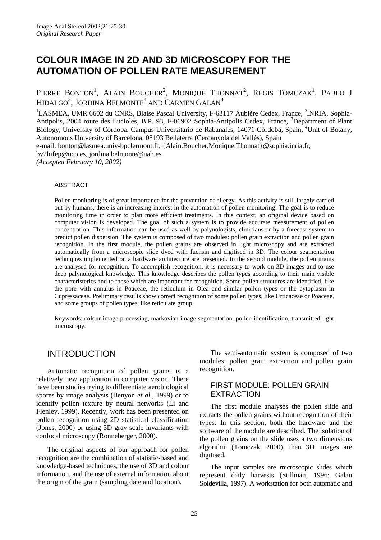# **COLOUR IMAGE IN 2D AND 3D MICROSCOPY FOR THE AUTOMATION OF POLLEN RATE MEASUREMENT**

PIERRE BONTON<sup>1</sup>, ALAIN BOUCHER<sup>2</sup>, MONIQUE THONNAT<sup>2</sup>, REGIS TOMCZAK<sup>1</sup>, PABLO J HIDALGO $^3$ , JORDINA BELMONTE $^4$  AND CARMEN GALAN $^3$ 

<sup>1</sup>LASMEA, UMR 6602 du CNRS, Blaise Pascal University, F-63117 Aubière Cedex, France, <sup>2</sup>INRIA, Sophia-Antipolis, 2004 route des Lucioles, B.P. 93, F-06902 Sophia-Antipolis Cedex, France, <sup>3</sup>Department of Plant Biology, University of Córdoba. Campus Universitario de Rabanales, 14071-Córdoba, Spain, <sup>4</sup>Unit of Botany, Autonomous University of Barcelona, 08193 Bellaterra (Cerdanyola del Vallès), Spain e-mail: bonton@lasmea.univ-bpclermont.fr, {Alain.Boucher,Monique.Thonnat}@sophia.inria.fr, bv2hifep@uco.es, jordina.belmonte@uab.es

*(Accepted February 10, 2002)*

#### ABSTRACT

Pollen monitoring is of great importance for the prevention of allergy. As this activity is still largely carried out by humans, there is an increasing interest in the automation of pollen monitoring. The goal is to reduce monitoring time in order to plan more efficient treatments. In this context, an original device based on computer vision is developed. The goal of such a system is to provide accurate measurement of pollen concentration. This information can be used as well by palynologists, clinicians or by a forecast system to predict pollen dispersion. The system is composed of two modules: pollen grain extraction and pollen grain recognition. In the first module, the pollen grains are observed in light microscopy and are extracted automatically from a microscopic slide dyed with fuchsin and digitised in 3D. The colour segmentation techniques implemented on a hardware architecture are presented. In the second module, the pollen grains are analysed for recognition. To accomplish recognition, it is necessary to work on 3D images and to use deep palynological knowledge. This knowledge describes the pollen types according to their main visible characteristerics and to those which are important for recognition. Some pollen structures are identified, like the pore with annulus in Poaceae, the reticulum in Olea and similar pollen types or the cytoplasm in Cupressaceae. Preliminary results show correct recognition of some pollen types, like Urticaceae or Poaceae, and some groups of pollen types, like reticulate group.

Keywords: colour image processing, markovian image segmentation, pollen identification, transmitted light microscopy.

## INTRODUCTION

Automatic recognition of pollen grains is a relatively new application in computer vision. There have been studies trying to differentiate aerobiological spores by image analysis (Benyon *et al.,* 1999) or to identify pollen texture by neural networks (Li and Flenley, 1999). Recently, work has been presented on pollen recognition using 2D statistical classification (Jones, 2000) or using 3D gray scale invariants with confocal microscopy (Ronneberger, 2000).

The original aspects of our approach for pollen recognition are the combination of statistic-based and knowledge-based techniques, the use of 3D and colour information, and the use of external information about the origin of the grain (sampling date and location).

The semi-automatic system is composed of two modules: pollen grain extraction and pollen grain recognition.

#### FIRST MODULE: POLLEN GRAIN EXTRACTION

The first module analyses the pollen slide and extracts the pollen grains without recognition of their types. In this section, both the hardware and the software of the module are described. The isolation of the pollen grains on the slide uses a two dimensions algorithm (Tomczak, 2000), then 3D images are digitised.

The input samples are microscopic slides which represent daily harvests (Stillman, 1996; Galan Soldevilla, 1997). A workstation for both automatic and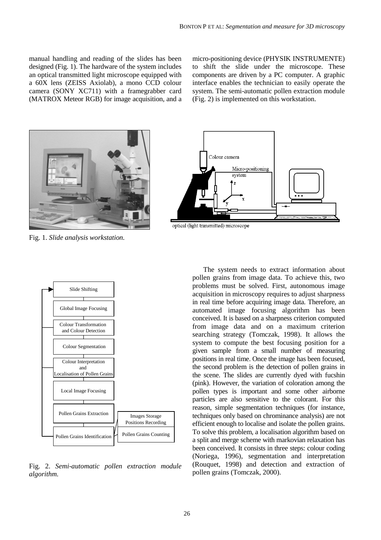manual handling and reading of the slides has been designed (Fig. 1). The hardware of the system includes an optical transmitted light microscope equipped with a 60X lens (ZEISS Axiolab), a mono CCD colour camera (SONY XC711) with a framegrabber card (MATROX Meteor RGB) for image acquisition, and a

micro-positioning device (PHYSIK INSTRUMENTE) to shift the slide under the microscope. These components are driven by a PC computer. A graphic interface enables the technician to easily operate the system. The semi-automatic pollen extraction module (Fig. 2) is implemented on this workstation.



Fig. 1. *Slide analysis workstation.*



optical (light transmitted) microscope



Fig. 2. *Semi-automatic pollen extraction module algorithm.*

The system needs to extract information about pollen grains from image data. To achieve this, two problems must be solved. First, autonomous image acquisition in microscopy requires to adjust sharpness in real time before acquiring image data. Therefore, an automated image focusing algorithm has been conceived. It is based on a sharpness criterion computed from image data and on a maximum criterion searching strategy (Tomczak, 1998). It allows the system to compute the best focusing position for a given sample from a small number of measuring positions in real time. Once the image has been focused, the second problem is the detection of pollen grains in the scene. The slides are currently dyed with fucshin (pink). However, the variation of coloration among the pollen types is important and some other airborne particles are also sensitive to the colorant. For this reason, simple segmentation techniques (for instance, techniques only based on chrominance analysis) are not efficient enough to localise and isolate the pollen grains. To solve this problem, a localisation algorithm based on a split and merge scheme with markovian relaxation has been conceived. It consists in three steps: colour coding (Noriega, 1996), segmentation and interpretation (Rouquet, 1998) and detection and extraction of pollen grains (Tomczak, 2000).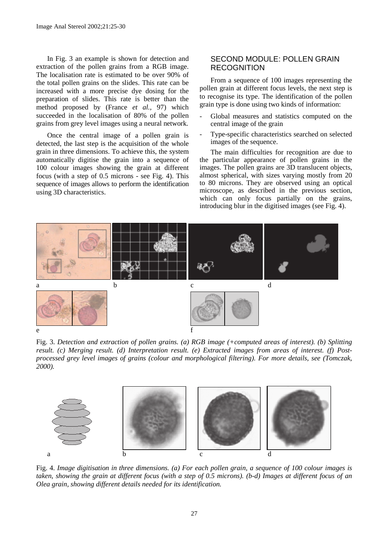In Fig. 3 an example is shown for detection and extraction of the pollen grains from a RGB image. The localisation rate is estimated to be over 90% of the total pollen grains on the slides. This rate can be increased with a more precise dye dosing for the preparation of slides. This rate is better than the method proposed by (France *et al.,* 97) which succeeded in the localisation of 80% of the pollen grains from grey level images using a neural network.

Once the central image of a pollen grain is detected, the last step is the acquisition of the whole grain in three dimensions. To achieve this, the system automatically digitise the grain into a sequence of 100 colour images showing the grain at different focus (with a step of 0.5 microns - see Fig. 4). This sequence of images allows to perform the identification using 3D characteristics.

### SECOND MODULE: POLLEN GRAIN **RECOGNITION**

From a sequence of 100 images representing the pollen grain at different focus levels, the next step is to recognise its type. The identification of the pollen grain type is done using two kinds of information:

- Global measures and statistics computed on the central image of the grain
- Type-specific characteristics searched on selected images of the sequence.

The main difficulties for recognition are due to the particular appearance of pollen grains in the images. The pollen grains are 3D translucent objects, almost spherical, with sizes varying mostly from 20 to 80 microns. They are observed using an optical microscope, as described in the previous section, which can only focus partially on the grains, introducing blur in the digitised images (see Fig. 4).



Fig. 3. *Detection and extraction of pollen grains. (a) RGB image (+computed areas of interest). (b) Splitting result. (c) Merging result. (d) Interpretation result. (e) Extracted images from areas of interest. (f) Postprocessed grey level images of grains (colour and morphological filtering). For more details, see (Tomczak, 2000).*



Fig. 4. *Image digitisation in three dimensions. (a) For each pollen grain, a sequence of 100 colour images is taken, showing the grain at different focus (with a step of 0.5 microns). (b-d) Images at different focus of an Olea grain, showing different details needed for its identification.*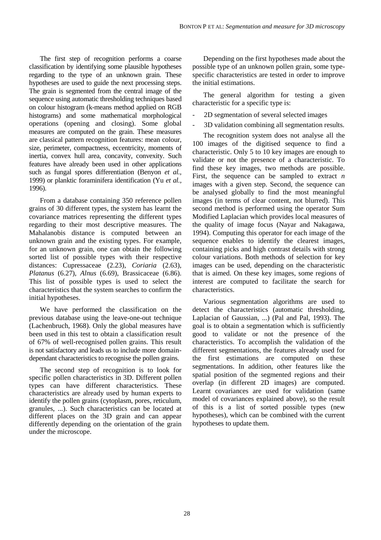The first step of recognition performs a coarse classification by identifying some plausible hypotheses regarding to the type of an unknown grain. These hypotheses are used to guide the next processing steps. The grain is segmented from the central image of the sequence using automatic thresholding techniques based on colour histogram (k-means method applied on RGB histograms) and some mathematical morphological operations (opening and closing). Some global measures are computed on the grain. These measures are classical pattern recognition features: mean colour, size, perimeter, compactness, eccentricity, moments of inertia, convex hull area, concavity, convexity. Such features have already been used in other applications such as fungal spores differentiation (Benyon *et al.,* 1999) or planktic foraminifera identification (Yu *et al.,* 1996).

From a database containing 350 reference pollen grains of 30 different types, the system has learnt the covariance matrices representing the different types regarding to their most descriptive measures. The Mahalanobis distance is computed between an unknown grain and the existing types. For example, for an unknown grain, one can obtain the following sorted list of possible types with their respective distances: Cupressaceae (2.23), *Coriaria* (2.63), *Platanus* (6.27), *Alnus* (6.69), Brassicaceae (6.86). This list of possible types is used to select the characteristics that the system searches to confirm the initial hypotheses.

We have performed the classification on the previous database using the leave-one-out technique (Lachenbruch, 1968). Only the global measures have been used in this test to obtain a classification result of 67% of well-recognised pollen grains. This result is not satisfactory and leads us to include more domaindependant characteristics to recognise the pollen grains.

The second step of recognition is to look for specific pollen characteristics in 3D. Different pollen types can have different characteristics. These characteristics are already used by human experts to identify the pollen grains (cytoplasm, pores, reticulum, granules, ...). Such characteristics can be located at different places on the 3D grain and can appear differently depending on the orientation of the grain under the microscope.

Depending on the first hypotheses made about the possible type of an unknown pollen grain, some typespecific characteristics are tested in order to improve the initial estimations.

The general algorithm for testing a given characteristic for a specific type is:

- 2D segmentation of several selected images
- 3D validation combining all segmentation results.

The recognition system does not analyse all the 100 images of the digitised sequence to find a characteristic. Only 5 to 10 key images are enough to validate or not the presence of a characteristic. To find these key images, two methods are possible. First, the sequence can be sampled to extract *n* images with a given step. Second, the sequence can be analysed globally to find the most meaningful images (in terms of clear content, not blurred). This second method is performed using the operator Sum Modified Laplacian which provides local measures of the quality of image focus (Nayar and Nakagawa, 1994). Computing this operator for each image of the sequence enables to identify the clearest images, containing picks and high contrast details with strong colour variations. Both methods of selection for key images can be used, depending on the characteristic that is aimed. On these key images, some regions of interest are computed to facilitate the search for characteristics.

Various segmentation algorithms are used to detect the characteristics (automatic thresholding, Laplacian of Gaussian, ...) (Pal and Pal, 1993). The goal is to obtain a segmentation which is sufficiently good to validate or not the presence of the characteristics. To accomplish the validation of the different segmentations, the features already used for the first estimations are computed on these segmentations. In addition, other features like the spatial position of the segmented regions and their overlap (in different 2D images) are computed. Learnt covariances are used for validation (same model of covariances explained above), so the result of this is a list of sorted possible types (new hypotheses), which can be combined with the current hypotheses to update them.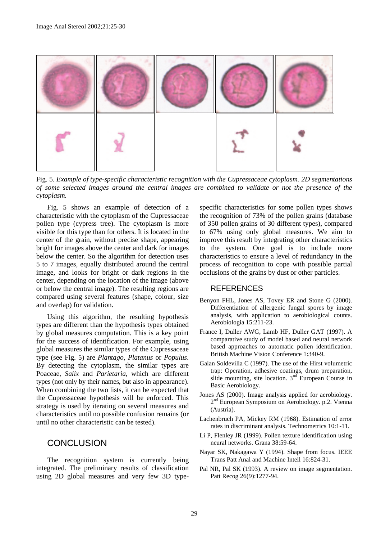

Fig. 5. *Example of type-specific characteristic recognition with the Cupressaceae cytoplasm. 2D segmentations of some selected images around the central images are combined to validate or not the presence of the cytoplasm.*

Fig. 5 shows an example of detection of a characteristic with the cytoplasm of the Cupressaceae pollen type (cypress tree). The cytoplasm is more visible for this type than for others. It is located in the center of the grain, without precise shape, appearing bright for images above the center and dark for images below the center. So the algorithm for detection uses 5 to 7 images, equally distributed around the central image, and looks for bright or dark regions in the center, depending on the location of the image (above or below the central image). The resulting regions are compared using several features (shape, colour, size and overlap) for validation.

Using this algorithm, the resulting hypothesis types are different than the hypothesis types obtained by global measures computation. This is a key point for the success of identification. For example, using global measures the similar types of the Cupressaceae type (see Fig. 5) are *Plantago*, *Platanus* or *Populus*. By detecting the cytoplasm, the similar types are Poaceae, *Salix* and *Parietaria*, which are different types (not only by their names, but also in appearance). When combining the two lists, it can be expected that the Cupressaceae hypothesis will be enforced. This strategy is used by iterating on several measures and characteristics until no possible confusion remains (or until no other characteristic can be tested).

# **CONCLUSION**

The recognition system is currently being integrated. The preliminary results of classification using 2D global measures and very few 3D typespecific characteristics for some pollen types shows the recognition of 73% of the pollen grains (database of 350 pollen grains of 30 different types), compared to 67% using only global measures. We aim to improve this result by integrating other characteristics to the system. One goal is to include more characteristics to ensure a level of redundancy in the process of recognition to cope with possible partial occlusions of the grains by dust or other particles.

#### **REFERENCES**

- Benyon FHL, Jones AS, Tovey ER and Stone G (2000). Differentiation of allergenic fungal spores by image analysis, with application to aerobiological counts. Aerobiologia 15:211-23.
- France I, Duller AWG, Lamb HF, Duller GAT (1997). A comparative study of model based and neural network based approaches to automatic pollen identification. British Machine Vision Conference 1:340-9.
- Galan Soldevilla C (1997). The use of the Hirst volumetric trap: Operation, adhesive coatings, drum preparation, slide mounting, site location.  $3<sup>nd</sup>$  European Course in Basic Aerobiology.
- Jones AS (2000). Image analysis applied for aerobiology. 2nd European Symposium on Aerobiology. p.2. Vienna (Austria).
- Lachenbruch PA, Mickey RM (1968). Estimation of error rates in discriminant analysis. Technometrics 10:1-11.
- Li P, Flenley JR (1999). Pollen texture identification using neural networks. Grana 38:59-64.
- Nayar SK, Nakagawa Y (1994). Shape from focus. IEEE Trans Patt Anal and Machine Intell 16:824-31.
- Pal NR, Pal SK (1993). A review on image segmentation. Patt Recog 26(9):1277-94.